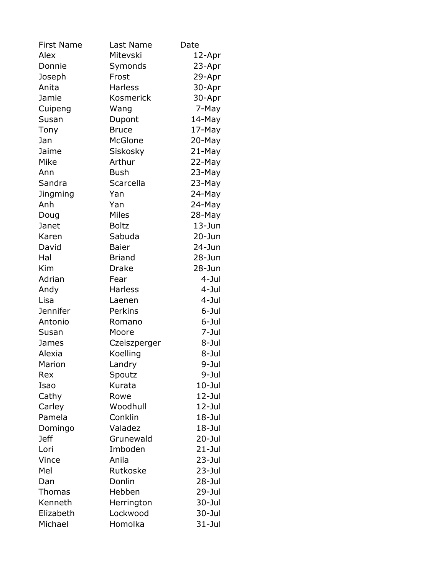| <b>First Name</b> | Last Name      | Date       |
|-------------------|----------------|------------|
| Alex              | Mitevski       | 12-Apr     |
| Donnie            | Symonds        | 23-Apr     |
| Joseph            | Frost          | 29-Apr     |
| Anita             | <b>Harless</b> | 30-Apr     |
| Jamie             | Kosmerick      | 30-Apr     |
| Cuipeng           | Wang           | 7-May      |
| Susan             | Dupont         | 14-May     |
| Tony              | <b>Bruce</b>   | 17-May     |
| Jan               | <b>McGlone</b> | 20-May     |
| Jaime             | Siskosky       | 21-May     |
| Mike              | Arthur         | 22-May     |
| Ann               | <b>Bush</b>    | 23-May     |
| Sandra            | Scarcella      | 23-May     |
| Jingming          | Yan            | 24-May     |
| Anh               | Yan            | 24-May     |
| Doug              | <b>Miles</b>   | 28-May     |
| Janet             | <b>Boltz</b>   | $13 - Jun$ |
| Karen             | Sabuda         | $20 - Jun$ |
| David             | <b>Baier</b>   | $24 - Jun$ |
| Hal               | <b>Briand</b>  | $28 - Jun$ |
| Kim               | <b>Drake</b>   | 28-Jun     |
| Adrian            | Fear           | 4-Jul      |
| Andy              | <b>Harless</b> | $4 - J$ ul |
| Lisa              | Laenen         | 4-Jul      |
| <b>Jennifer</b>   | Perkins        | 6-Jul      |
| Antonio           | Romano         | 6-Jul      |
| Susan             | Moore          | 7-Jul      |
| James             | Czeiszperger   | 8-Jul      |
| Alexia            | Koelling       | 8-Jul      |
| Marion            | Landry         | 9-Jul      |
| Rex               | Spoutz         | 9-Jul      |
| Isao              | Kurata         | $10 -$ Jul |
| Cathy             | Rowe           | $12 -$ Jul |
| Carley            | Woodhull       | $12 -$ Jul |
| Pamela            | Conklin        | $18 -$ Jul |
| Domingo           | Valadez        | $18 -$ Jul |
| <b>Jeff</b>       | Grunewald      | $20 -$ Jul |
| Lori              | Imboden        | $21 -$ Jul |
| Vince             | Anila          | $23 -$ Jul |
| Mel               | Rutkoske       | 23-Jul     |
| Dan               | Donlin         | $28 -$ Jul |
| <b>Thomas</b>     | Hebben         | $29 -$ Jul |
| Kenneth           | Herrington     | 30-Jul     |
| Elizabeth         | Lockwood       | $30 -$ Jul |
| Michael           | Homolka        | $31 -$ Jul |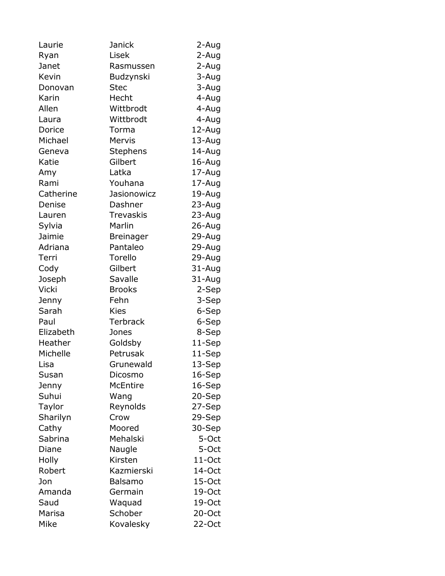| Laurie       | Janick           | 2-Aug     |
|--------------|------------------|-----------|
| Ryan         | Lisek            | 2-Aug     |
| Janet        | Rasmussen        | 2-Aug     |
| Kevin        | Budzynski        | 3-Aug     |
| Donovan      | <b>Stec</b>      | 3-Aug     |
| Karin        | Hecht            | 4-Aug     |
| Allen        | Wittbrodt        | 4-Aug     |
| Laura        | Wittbrodt        | 4-Aug     |
| Dorice       | Torma            | 12-Aug    |
| Michael      | Mervis           | 13-Aug    |
| Geneva       | Stephens         | 14-Aug    |
| Katie        | Gilbert          | 16-Aug    |
| Amy          | Latka            | 17-Aug    |
| Rami         | Youhana          | 17-Aug    |
| Catherine    | Jasionowicz      | 19-Aug    |
| Denise       | Dashner          | 23-Aug    |
| Lauren       | <b>Trevaskis</b> | 23-Aug    |
| Sylvia       | Marlin           | 26-Aug    |
| Jaimie       | <b>Breinager</b> | 29-Aug    |
| Adriana      | Pantaleo         | 29-Aug    |
| Terri        | Torello          | 29-Aug    |
| Cody         | Gilbert          | 31-Aug    |
| Joseph       | Savalle          | 31-Aug    |
| <b>Vicki</b> | <b>Brooks</b>    | 2-Sep     |
| Jenny        | Fehn             | 3-Sep     |
| Sarah        | <b>Kies</b>      | 6-Sep     |
| Paul         | <b>Terbrack</b>  | 6-Sep     |
| Elizabeth    | Jones            | 8-Sep     |
| Heather      | Goldsby          | 11-Sep    |
| Michelle     | Petrusak         | 11-Sep    |
| Lisa         | Grunewald        | 13-Sep    |
| Susan        | Dicosmo          | 16-Sep    |
| Jenny        | <b>McEntire</b>  | 16-Sep    |
| Suhui        | Wang             | 20-Sep    |
| Taylor       | Reynolds         | 27-Sep    |
| Sharilyn     | Crow             | 29-Sep    |
| Cathy        | Moored           | 30-Sep    |
| Sabrina      | Mehalski         | 5-Oct     |
| Diane        | Naugle           | 5-Oct     |
| Holly        | Kirsten          | $11$ -Oct |
| Robert       | Kazmierski       | 14-Oct    |
| Jon          | Balsamo          | 15-Oct    |
| Amanda       | Germain          | 19-Oct    |
| Saud         | Waquad           | 19-Oct    |
| Marisa       | Schober          | 20-Oct    |
| Mike         | Kovalesky        | 22-Oct    |
|              |                  |           |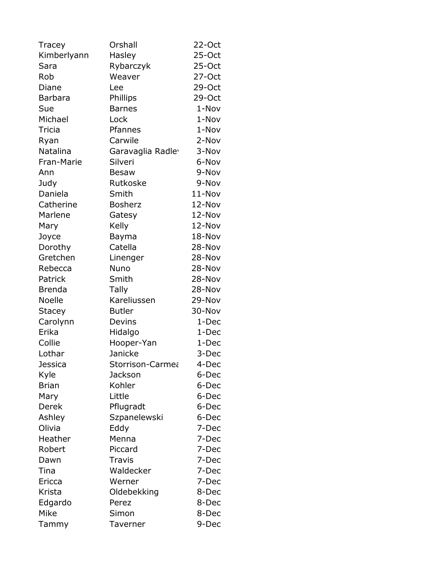| Tracey           | Orshall           | 22-Oct   |
|------------------|-------------------|----------|
| Kimberlyann      | Hasley            | 25-Oct   |
| Sara             | Rybarczyk         | 25-Oct   |
| Rob              | Weaver            | 27-Oct   |
| Diane            | Lee               | 29-Oct   |
| <b>Barbara</b>   | Phillips          | 29-Oct   |
| Sue              | <b>Barnes</b>     | 1-Nov    |
| Michael          | Lock              | 1-Nov    |
| Tricia           | Pfannes           | 1-Nov    |
| Ryan             | Carwile           | 2-Nov    |
| Natalina         | Garavaglia Radley | 3-Nov    |
| Fran-Marie       | Silveri           | 6-Nov    |
| Ann              | <b>Besaw</b>      | 9-Nov    |
| Judy             | Rutkoske          | 9-Nov    |
| Daniela          | Smith             | 11-Nov   |
| Catherine        | <b>Bosherz</b>    | 12-Nov   |
| Marlene          | Gatesy            | 12-Nov   |
| Mary             | Kelly             | 12-Nov   |
| Joyce            | Bayma             | 18-Nov   |
| Dorothy          | Catella           | 28-Nov   |
| Gretchen         | Linenger          | 28-Nov   |
| Rebecca          | Nuno              | 28-Nov   |
| Patrick          | Smith             | 28-Nov   |
| <b>Brenda</b>    | <b>Tally</b>      | 28-Nov   |
| <b>Noelle</b>    | Kareliussen       | 29-Nov   |
| <b>Stacey</b>    | <b>Butler</b>     | 30-Nov   |
| Carolynn         | Devins            | 1-Dec    |
| Erika            | Hidalgo           | 1-Dec    |
| Collie           | Hooper-Yan        | 1-Dec    |
| Lothar           | Janicke           | 3-Dec    |
| Jessica          | Storrison-Carmea  | $4$ -Dec |
| Kyle             | Jackson           | 6-Dec    |
| <b>Brian</b>     | Kohler            | 6-Dec    |
| Mary             | Little            | 6-Dec    |
| <b>Derek</b>     | Pflugradt         | 6-Dec    |
|                  | Szpanelewski      | 6-Dec    |
| Ashley<br>Olivia | Eddy              | 7-Dec    |
| Heather          | Menna             |          |
|                  |                   | 7-Dec    |
| Robert           | Piccard           | 7-Dec    |
| Dawn             | <b>Travis</b>     | 7-Dec    |
| Tina             | Waldecker         | 7-Dec    |
| Ericca           | Werner            | 7-Dec    |
| Krista           | Oldebekking       | 8-Dec    |
| Edgardo          | Perez             | 8-Dec    |
| Mike             | Simon             | 8-Dec    |
| <b>Tammy</b>     | Taverner          | 9-Dec    |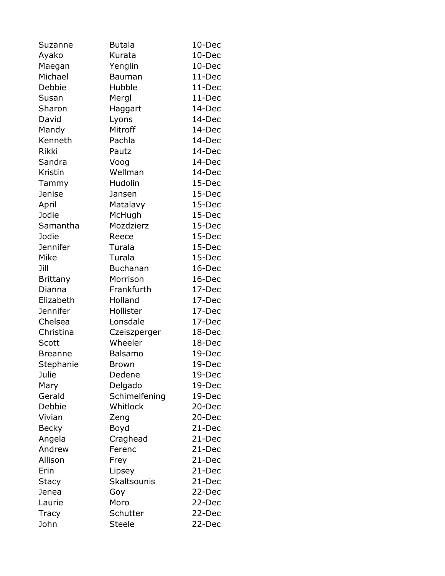| Suzanne         | <b>Butala</b>      | 10-Dec |
|-----------------|--------------------|--------|
| Ayako           | Kurata             | 10-Dec |
| Maegan          | Yenglin            | 10-Dec |
| Michael         | Bauman             | 11-Dec |
| Debbie          | Hubble             | 11-Dec |
| Susan           | Mergl              | 11-Dec |
| Sharon          | Haggart            | 14-Dec |
| David           | Lyons              | 14-Dec |
| Mandy           | Mitroff            | 14-Dec |
| Kenneth         | Pachla             | 14-Dec |
| <b>Rikki</b>    | Pautz              | 14-Dec |
| Sandra          | Voog               | 14-Dec |
| Kristin         | Wellman            | 14-Dec |
| Tammy           | Hudolin            | 15-Dec |
| <b>Jenise</b>   | Jansen             | 15-Dec |
| April           | Matalavy           | 15-Dec |
| Jodie           | McHugh             | 15-Dec |
| Samantha        | Mozdzierz          | 15-Dec |
| Jodie           | Reece              | 15-Dec |
| <b>Jennifer</b> | Turala             | 15-Dec |
| Mike            | Turala             | 15-Dec |
| Jill            | <b>Buchanan</b>    | 16-Dec |
| <b>Brittany</b> | Morrison           | 16-Dec |
| Dianna          | Frankfurth         | 17-Dec |
| Elizabeth       | Holland            | 17-Dec |
| <b>Jennifer</b> | Hollister          | 17-Dec |
| Chelsea         | Lonsdale           | 17-Dec |
| Christina       | Czeiszperger       | 18-Dec |
| Scott           | Wheeler            | 18-Dec |
| <b>Breanne</b>  | Balsamo            | 19-Dec |
| Stephanie       | Brown              | 19-Dec |
| Julie           | Dedene             | 19-Dec |
| Mary            | Delgado            | 19-Dec |
| Gerald          | Schimelfening      | 19-Dec |
| Debbie          | Whitlock           | 20-Dec |
| Vivian          | Zeng               | 20-Dec |
| <b>Becky</b>    | Boyd               | 21-Dec |
| Angela          | Craghead           | 21-Dec |
| Andrew          | Ferenc             | 21-Dec |
| Allison         | Frey               | 21-Dec |
| Erin            | Lipsey             | 21-Dec |
| <b>Stacy</b>    | <b>Skaltsounis</b> | 21-Dec |
| Jenea           | Goy                | 22-Dec |
| Laurie          | Moro               | 22-Dec |
| <b>Tracy</b>    | Schutter           | 22-Dec |
| John            | <b>Steele</b>      | 22-Dec |